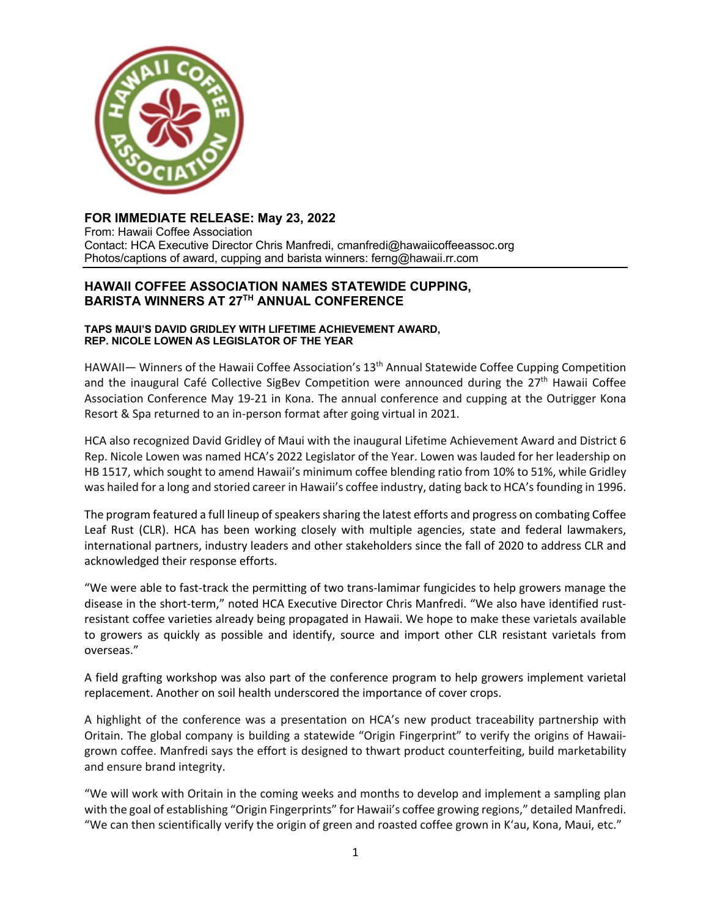

# **FOR IMMEDIATE RELEASE: May 23, 2022**

From: Hawaii Coffee Association Contact: HCA Executive Director Chris Manfredi, cmanfredi@hawaiicoffeeassoc.org Photos/captions of award, cupping and barista winners: ferng@hawaii.rr.com

## **HAWAII COFFEE ASSOCIATION NAMES STATEWIDE CUPPING, BARISTA WINNERS AT 27TH ANNUAL CONFERENCE**

#### **TAPS MAUI'S DAVID GRIDLEY WITH LIFETIME ACHIEVEMENT AWARD, REP. NICOLE LOWEN AS LEGISLATOR OF THE YEAR**

HAWAII— Winners of the Hawaii Coffee Association's 13th Annual Statewide Coffee Cupping Competition and the inaugural Café Collective SigBev Competition were announced during the  $27<sup>th</sup>$  Hawaii Coffee Association Conference May 19-21 in Kona. The annual conference and cupping at the Outrigger Kona Resort & Spa returned to an in-person format after going virtual in 2021.

HCA also recognized David Gridley of Maui with the inaugural Lifetime Achievement Award and District 6 Rep. Nicole Lowen was named HCA's 2022 Legislator of the Year. Lowen was lauded for her leadership on HB 1517, which sought to amend Hawaii's minimum coffee blending ratio from 10% to 51%, while Gridley was hailed for a long and storied career in Hawaii's coffee industry, dating back to HCA's founding in 1996.

The program featured a full lineup of speakers sharing the latest efforts and progress on combating Coffee Leaf Rust (CLR). HCA has been working closely with multiple agencies, state and federal lawmakers, international partners, industry leaders and other stakeholders since the fall of 2020 to address CLR and acknowledged their response efforts.

"We were able to fast-track the permitting of two trans-lamimar fungicides to help growers manage the disease in the short-term," noted HCA Executive Director Chris Manfredi. "We also have identified rustresistant coffee varieties already being propagated in Hawaii. We hope to make these varietals available to growers as quickly as possible and identify, source and import other CLR resistant varietals from overseas."

A field grafting workshop was also part of the conference program to help growers implement varietal replacement. Another on soil health underscored the importance of cover crops.

A highlight of the conference was a presentation on HCA's new product traceability partnership with Oritain. The global company is building a statewide "Origin Fingerprint" to verify the origins of Hawaiigrown coffee. Manfredi says the effort is designed to thwart product counterfeiting, build marketability and ensure brand integrity.

"We will work with Oritain in the coming weeks and months to develop and implement a sampling plan with the goal of establishing "Origin Fingerprints" for Hawaii's coffee growing regions," detailed Manfredi. "We can then scientifically verify the origin of green and roasted coffee grown in K'au, Kona, Maui, etc."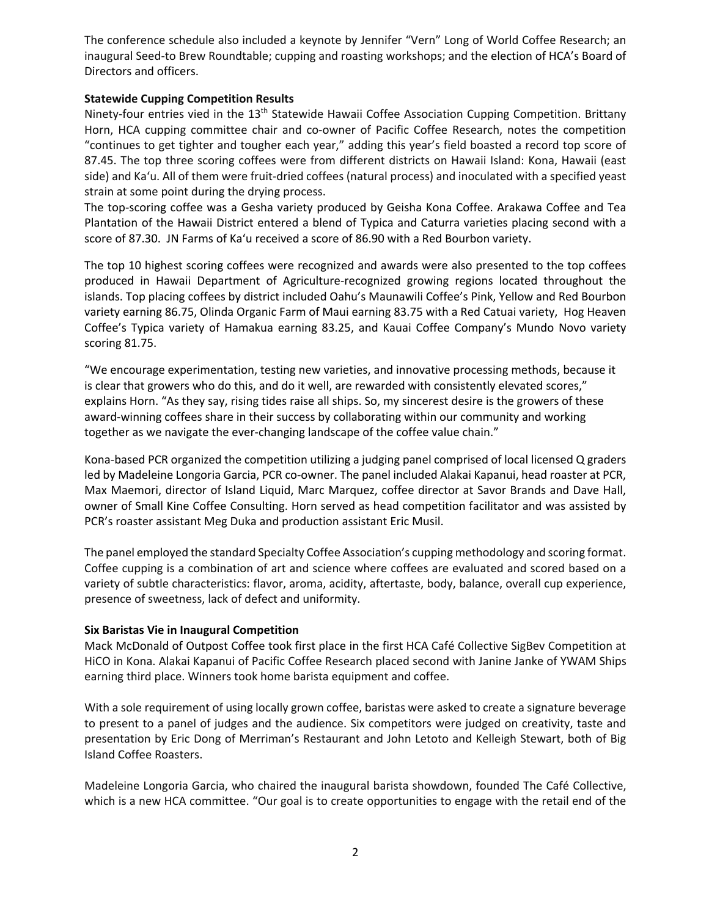The conference schedule also included a keynote by Jennifer "Vern" Long of World Coffee Research; an inaugural Seed-to Brew Roundtable; cupping and roasting workshops; and the election of HCA's Board of Directors and officers.

## **Statewide Cupping Competition Results**

Ninety-four entries vied in the 13<sup>th</sup> Statewide Hawaii Coffee Association Cupping Competition. Brittany Horn, HCA cupping committee chair and co-owner of Pacific Coffee Research, notes the competition "continues to get tighter and tougher each year," adding this year's field boasted a record top score of 87.45. The top three scoring coffees were from different districts on Hawaii Island: Kona, Hawaii (east side) and Ka'u. All of them were fruit-dried coffees (natural process) and inoculated with a specified yeast strain at some point during the drying process.

The top-scoring coffee was a Gesha variety produced by Geisha Kona Coffee. Arakawa Coffee and Tea Plantation of the Hawaii District entered a blend of Typica and Caturra varieties placing second with a score of 87.30. JN Farms of Ka'u received a score of 86.90 with a Red Bourbon variety.

The top 10 highest scoring coffees were recognized and awards were also presented to the top coffees produced in Hawaii Department of Agriculture-recognized growing regions located throughout the islands. Top placing coffees by district included Oahu's Maunawili Coffee's Pink, Yellow and Red Bourbon variety earning 86.75, Olinda Organic Farm of Maui earning 83.75 with a Red Catuai variety, Hog Heaven Coffee's Typica variety of Hamakua earning 83.25, and Kauai Coffee Company's Mundo Novo variety scoring 81.75.

"We encourage experimentation, testing new varieties, and innovative processing methods, because it is clear that growers who do this, and do it well, are rewarded with consistently elevated scores," explains Horn. "As they say, rising tides raise all ships. So, my sincerest desire is the growers of these award-winning coffees share in their success by collaborating within our community and working together as we navigate the ever-changing landscape of the coffee value chain."

Kona-based PCR organized the competition utilizing a judging panel comprised of local licensed Q graders led by Madeleine Longoria Garcia, PCR co-owner. The panel included Alakai Kapanui, head roaster at PCR, Max Maemori, director of Island Liquid, Marc Marquez, coffee director at Savor Brands and Dave Hall, owner of Small Kine Coffee Consulting. Horn served as head competition facilitator and was assisted by PCR's roaster assistant Meg Duka and production assistant Eric Musil.

The panel employed the standard Specialty Coffee Association's cupping methodology and scoring format. Coffee cupping is a combination of art and science where coffees are evaluated and scored based on a variety of subtle characteristics: flavor, aroma, acidity, aftertaste, body, balance, overall cup experience, presence of sweetness, lack of defect and uniformity.

#### **Six Baristas Vie in Inaugural Competition**

Mack McDonald of Outpost Coffee took first place in the first HCA Café Collective SigBev Competition at HiCO in Kona. Alakai Kapanui of Pacific Coffee Research placed second with Janine Janke of YWAM Ships earning third place. Winners took home barista equipment and coffee.

With a sole requirement of using locally grown coffee, baristas were asked to create a signature beverage to present to a panel of judges and the audience. Six competitors were judged on creativity, taste and presentation by Eric Dong of Merriman's Restaurant and John Letoto and Kelleigh Stewart, both of Big Island Coffee Roasters.

Madeleine Longoria Garcia, who chaired the inaugural barista showdown, founded The Café Collective, which is a new HCA committee. "Our goal is to create opportunities to engage with the retail end of the